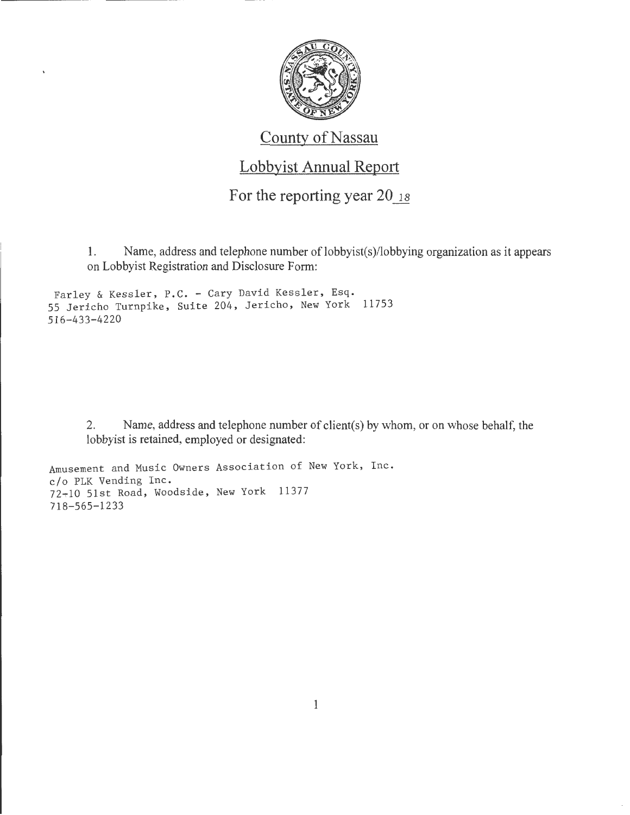

#### County of Nassau

#### Lobbyist Annual Report

For the reporting year  $20_{18}$ 

1. Name, address and telephone number of lobbyist( $s$ )/lobbying organization as it appears on Lobbyist Registration and Disclosure Form:

Farley & Kessler, P.C. - Cary David Kessler, Esq. 55 Jericho Turnpike, Suite 204, Jericho, New York 11753 516-433-4220

> 2. Name, address and telephone number of client(s) by whom, or on whose behalf, the lobbyist is retained, employed or designated:

Amusement and Music Owners Association of New York, Inc. c/o PLK Vending Inc. 72+10 51st Road, Woodside, New York 11377 718-565-1233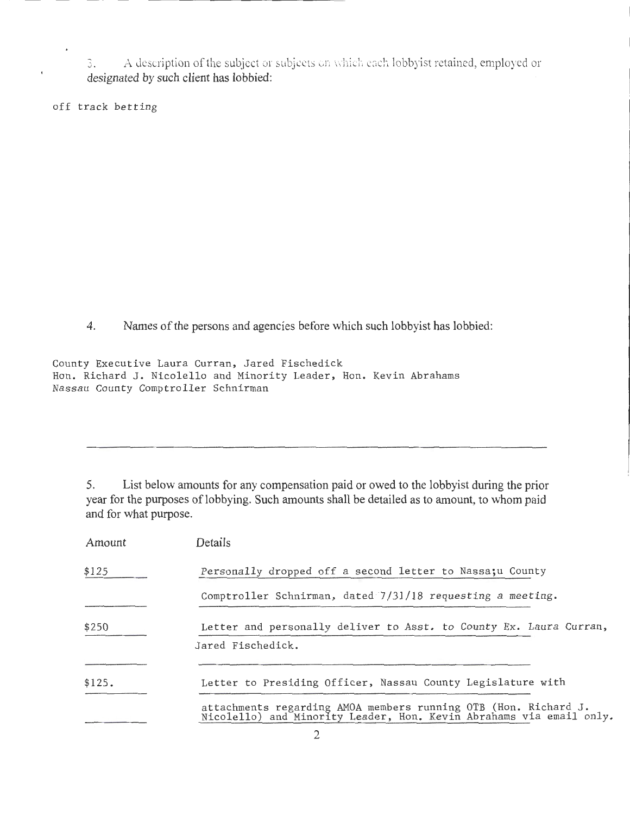3. A description of the subject or subjects on which each lobbyist retained, employed or designated by such client has lobbied:

off track betting

 $\ddot{\phantom{0}}$ 

4. Names of the persons and agencies before which such lobby ist has lobbied:

County Executive Laura Curran, Jared Fischedick Hon. Richard J. Nicolello and Minority Leader, Hon. Kevin Abrahams Nassau County Comptroller Schnirman

5. List below amounts for any compensation paid or owed to the lobbyist during the prior year for the purposes of lobbying. Such amounts shall be detailed as to amount, to whom paid and for what purpose.

| Amount | Details                                                                                                                             |
|--------|-------------------------------------------------------------------------------------------------------------------------------------|
| \$125  | Personally dropped off a second letter to Nassa: u County                                                                           |
|        | Comptroller Schnirman, dated 7/31/18 requesting a meeting.                                                                          |
| \$250  | Letter and personally deliver to Asst. to County Ex. Laura Curran,                                                                  |
|        | Jared Fischedick.                                                                                                                   |
|        |                                                                                                                                     |
| \$125. | Letter to Presiding Officer, Nassau County Legislature with                                                                         |
|        | attachments regarding AMOA members running OTB (Hon. Richard J. Nicolello) and Minority Leader, Hon. Kevin Abrahams via email only. |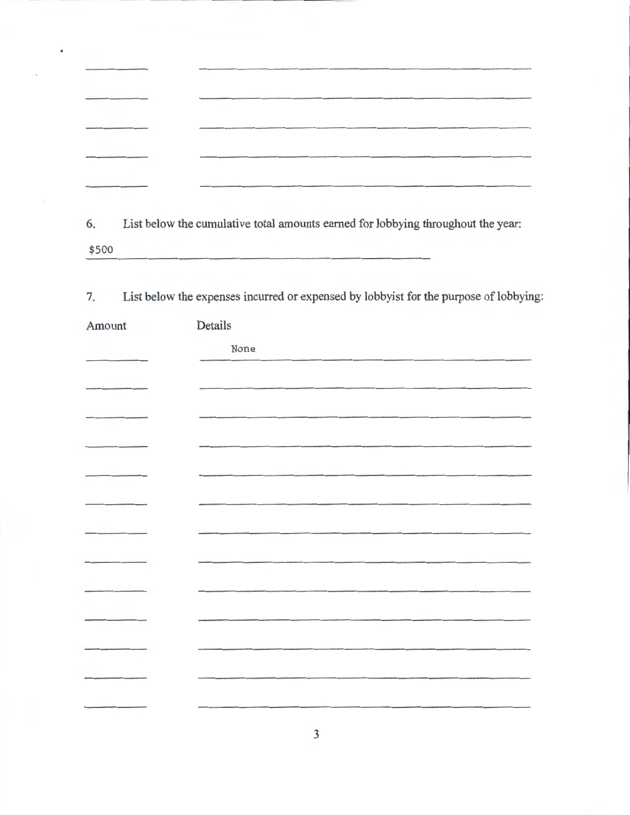|                                                                                                                  | <b><i>CRAMMADIAN COMPANY COMPANY COMPANY COMPANY</i></b>                                                                |
|------------------------------------------------------------------------------------------------------------------|-------------------------------------------------------------------------------------------------------------------------|
|                                                                                                                  | distant the relaxation of the control of the first states                                                               |
| and the following company of the following and state of the company of the company of the company of the company | Allan Corporate (2012) 22:00 per form of the corporate corporate the corporate corporate the corporate of the Corporate |
|                                                                                                                  |                                                                                                                         |

6. List below the cumulative total amounts earned for lobbying throughout the year: \$500

7. List below the expenses incurred or expensed by lobbyist for the purpose of lobbying:

| Amount | Details |
|--------|---------|
|        | None    |
|        |         |
|        |         |
|        |         |
|        |         |
|        |         |
|        |         |
|        |         |
|        |         |
|        |         |
|        |         |
|        |         |
|        |         |
|        |         |
|        |         |
|        |         |
|        |         |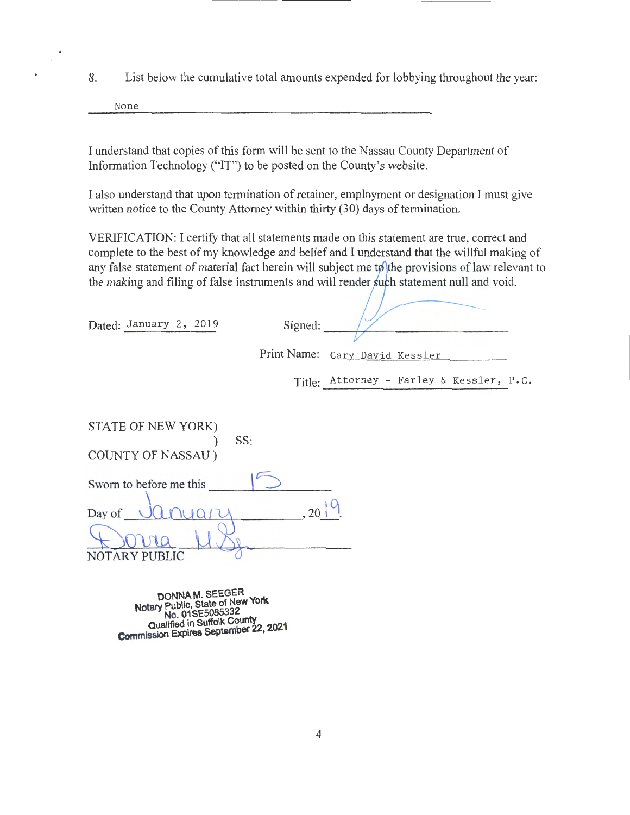8. List below the cumulative total amounts expended for lobbying throughout the year:

None

I understand that copies of this form will be sent to the Nassau County Department of Information Technology ("IT") to be posted on the County's website.

I also understand that upon termination of retainer, employment or designation I must give written notice to the County Attorney within thirty (30) days of termination.

VERIFICATION: I certify that all statements made on this statement are true, correct and complete to the best of my knowledge and belief and I understand that the willful making of any false statement of material fact herein will subject me to the provisions of law relevant to the making and filing of false instruments and will render such statement null and void.

Dated: January 2, 2019

| Signed: |                                |
|---------|--------------------------------|
|         |                                |
|         | Print Name: Cary David Kessler |
|         |                                |

Title: Attorney - Farley & Kessler, P.C.

| STATE OF NEW YORK)<br>SS: |  |
|---------------------------|--|
| <b>COUNTY OF NASSAU</b> ) |  |
| Sworn to before me this   |  |
| Day of                    |  |
|                           |  |
| NOTARY PUBLIC             |  |

**DONNA M. SEEGER Notary Public, State of New York**  No. 01 SE5085332<br>Qualified in Suffolk County **Qualified in Suffolk County** 2021 **Commission Expires September** '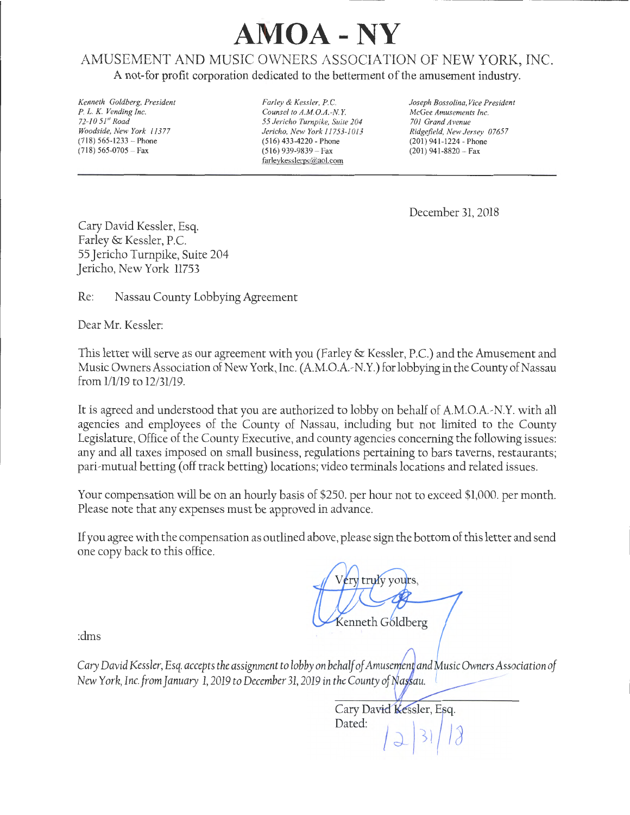# **MOA - NY**

#### AMUSEMENT AND MUSIC OWNERS ASSOCIATION OF NEW YORK, INC.

A not-for profit corporation dedicated to the betterment of the amusement industry.

*Kenneth Goldberg, President P.* L. K. *Vending Inc. 72-10 51" Road Woodside, New York 11377*   $(718)$  565-1233 - Phone  $(718)$  565-0705 - Fax

*Farley* & *Kessler, P.C. Counsel to A.M.O.A.-N. Y. 55 Jericho Turnpike, Suite 204 Jericho, New York 11753-1013*  (516) 433-4220- Phone  $(516)$  939-9839 - Fax farleykesslerpc@aol.com

*Joseph Bosso/ina, Vice President McGee Amusements Inc. 701 Grand Avenue Ridgefield, New Jersey 07657*  (201) 941-1224- Phone  $(201)$  941-8820 - Fax

December 31, 2018

Cary David Kessler, Esq. Farley & Kessler, P.C. 55 Jericho Turnpike, Suite 204 Jericho, New York 11753

Re: Nassau County Lobbying Agreement

Dear Mr. Kessler:

This letter will serve as our agreement with you (Farley & Kessler, P.C.) and the Amusement and Music Owners Association of New York, Inc. (A.M.O.A.-N.Y.) for lobbying in the County of Nassau from 1/1/19 to 12/31/19.

It is agreed and understood that you are authorized to lobby on behalf of A.M.O.A.-N.Y. with all agencies and employees of the County of Nassau, including but not limited to the County Legislature, Office of the County Executive, and county agencies concerning the following issues: any and all taxes imposed on small business, regulations pertaining to bars taverns, restaurants; pari~ mutual betting (off track betting) locations; video terminals locations and related issues.

Your compensation will be on an hourly basis of \$250. per hour not to exceed \$1,000. per month. Please note that any expenses must be approved in advance.

If you agree with the compensation as outlined above, please sign the bottom of this letter and send one copy back to this office.

ery truly yours. Kenneth Goldberg

:dms

*Cary David Kessler, Esq. accepts the assignment to lobby on behalf of Amusement and Music Owners Association of New York, Inc. from January 1, 2019 to December 31, 2019 in the County of Nassau.* 

Cary David Kessler, Esq. Dated: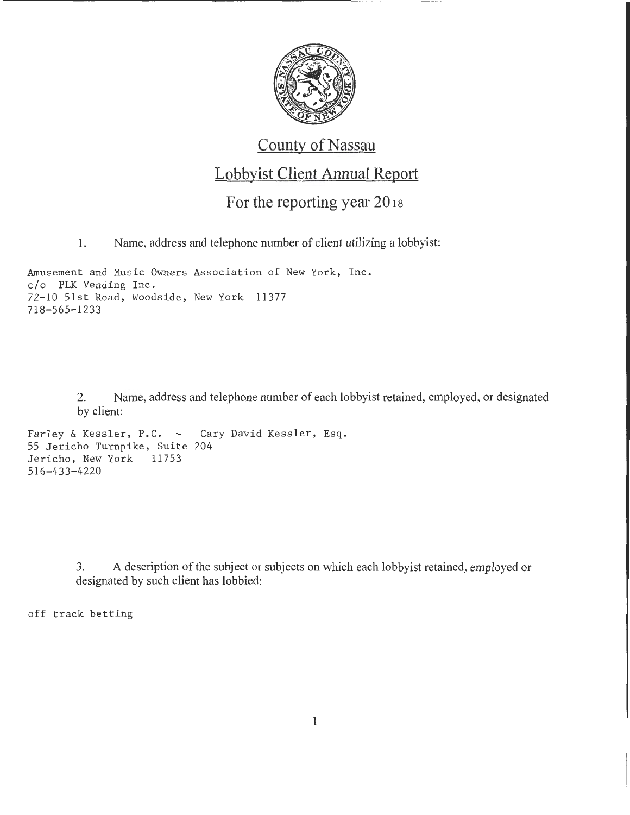

## County of Nassau

### Lobbyist Client Annual Report

#### For the reporting year 2018

1. Name, address and telephone number of client utilizing a lobbyist:

Amusement and Music Owners Association of New York, Inc. o/o PLK Vending Inc. 72-10 51st Road, Woodside, New York 11377 718-565-1233

> 2. Name, address and telephone number of each lobbyist retained, employed, or designated by client:

```
Farley & Kessler, P.C. - Cary David Kessler, Esq.
55 Jericho Turnpike, Suite 204<br>Jericho, New York 11753
Jericho, New York
516-433-4220
```
3. A description of the subject or subjects on which each lobbyist retained, employed or designated by such client has lobbied:

off track betting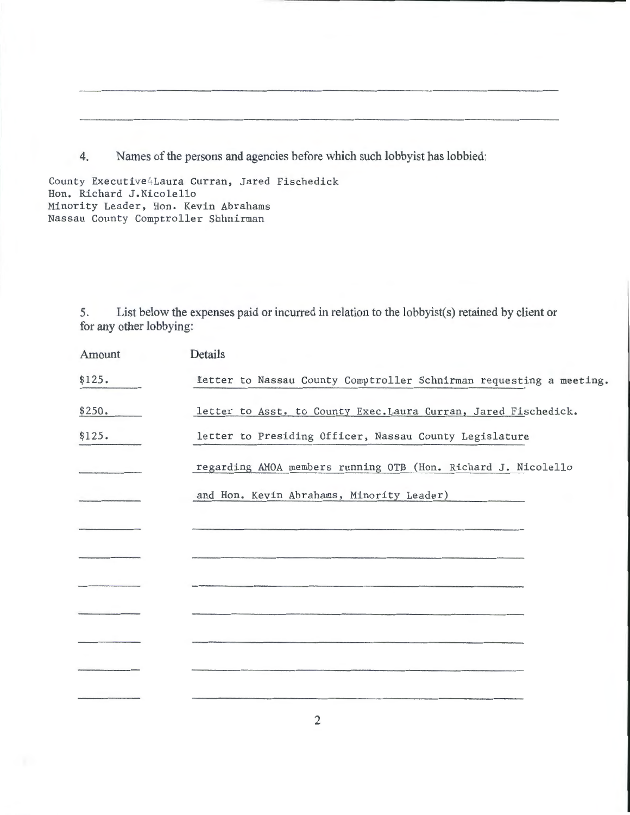4. Names of the persons and agencies before which such lobbyist has lobbied:

County Executive4Laura Curran, Jared Fischedick Hon. Richard J.Nicolello Minority Leader, Hon. Kevin Abrahams Nassau County Comptroller Sbhnirman

> 5. List below the expenses paid or incurred in relation to the lobbyist(s) retained by client or for any other lobbying:

| Amount | Details                                                             |
|--------|---------------------------------------------------------------------|
| \$125. | Tetter to Nassau County Comptroller Schnirman requesting a meeting. |
| \$250. | letter to Asst. to County Exec. Laura Curran, Jared Fischedick.     |
| \$125. | letter to Presiding Officer, Nassau County Legislature              |
|        | regarding AMOA members running OTB (Hon. Richard J. Nicolello       |
|        | and Hon. Kevin Abrahams, Minority Leader)                           |
|        |                                                                     |
|        |                                                                     |
|        |                                                                     |
|        |                                                                     |
|        |                                                                     |
|        |                                                                     |
|        |                                                                     |
|        |                                                                     |